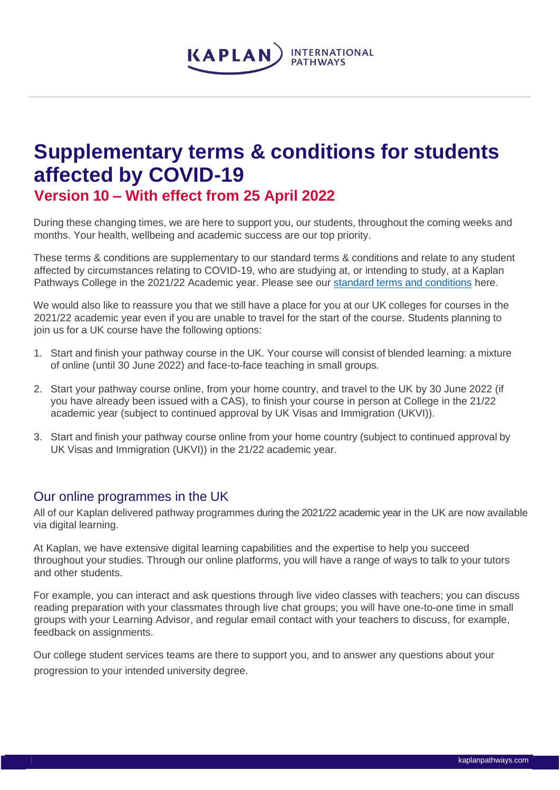

# **Supplementary terms & conditions for students affected by COVID-19**

**Version 10 – With effect from 25 April 2022**

During these changing times, we are here to support you, our students, throughout the coming weeks and months. Your health, wellbeing and academic success are our top priority.

These terms & conditions are supplementary to our standard terms & conditions and relate to any student affected by circumstances relating to COVID-19, who are studying at, or intending to study, at a Kaplan Pathways College in the 2021/22 Academic year. Please see our standard terms [and conditions](https://www.kaplanpathways.com/how-to-apply/uk-universities/terms-and-conditions/) here.

We would also like to reassure you that we still have a place for you at our UK colleges for courses in the 2021/22 academic year even if you are unable to travel for the start of the course. Students planning to join us for a UK course have the following options:

- 1. Start and finish your pathway course in the UK. Your course will consist of blended learning: a mixture of online (until 30 June 2022) and face-to-face teaching in small groups.
- 2. Start your pathway course online, from your home country, and travel to the UK by 30 June 2022 (if you have already been issued with a CAS), to finish your course in person at College in the 21/22 academic year (subject to continued approval by UK Visas and Immigration (UKVI)).
- 3. Start and finish your pathway course online from your home country (subject to continued approval by UK Visas and Immigration (UKVI)) in the 21/22 academic year.

## Our online programmes in the UK

All of our Kaplan delivered pathway programmes during the 2021/22 academic year in the UK are now available via digital learning.

At Kaplan, we have extensive digital learning capabilities and the expertise to help you succeed throughout your studies. Through our online platforms, you will have a range of ways to talk to your tutors and other students.

For example, you can interact and ask questions through live video classes with teachers; you can discuss reading preparation with your classmates through live chat groups; you will have one-to-one time in small groups with your Learning Advisor, and regular email contact with your teachers to discuss, for example, feedback on assignments.

Our college student services teams are there to support you, and to answer any questions about your progression to your intended university degree.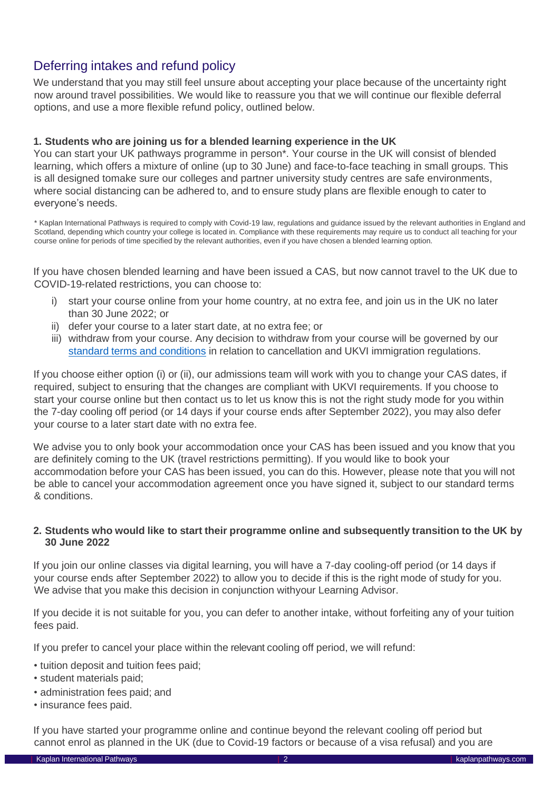# Deferring intakes and refund policy

We understand that you may still feel unsure about accepting your place because of the uncertainty right now around travel possibilities. We would like to reassure you that we will continue our flexible deferral options, and use a more flexible refund policy, outlined below.

#### **1. Students who are joining us for a blended learning experience in the UK**

You can start your UK pathways programme in person\*. Your course in the UK will consist of blended learning, which offers a mixture of online (up to 30 June) and face-to-face teaching in small groups. This is all designed tomake sure our colleges and partner university study centres are safe environments, where social distancing can be adhered to, and to ensure study plans are flexible enough to cater to everyone's needs.

\* Kaplan International Pathways is required to comply with Covid-19 law, regulations and guidance issued by the relevant authorities in England and Scotland, depending which country your college is located in. Compliance with these requirements may require us to conduct all teaching for your course online for periods of time specified by the relevant authorities, even if you have chosen a blended learning option.

If you have chosen blended learning and have been issued a CAS, but now cannot travel to the UK due to COVID-19-related restrictions, you can choose to:

- i) start your course online from your home country, at no extra fee, and join us in the UK no later than 30 June 2022; or
- ii) defer your course to a later start date, at no extra fee; or
- iii) withdraw from your course. Any decision to withdraw from your course will be governed by our standard terms and [conditions](https://www.kaplanpathways.com/how-to-apply/uk-universities/terms-and-conditions/) in relation to cancellation and UKVI immigration regulations.

If you choose either option (i) or (ii), our admissions team will work with you to change your CAS dates, if required, subject to ensuring that the changes are compliant with UKVI requirements. If you choose to start your course online but then contact us to let us know this is not the right study mode for you within the 7-day cooling off period (or 14 days if your course ends after September 2022), you may also defer your course to a later start date with no extra fee.

We advise you to only book your accommodation once your CAS has been issued and you know that you are definitely coming to the UK (travel restrictions permitting). If you would like to book your accommodation before your CAS has been issued, you can do this. However, please note that you will not be able to cancel your accommodation agreement once you have signed it, subject to our standard terms & conditions.

#### **2. Students who would like to start their programme online and subsequently transition to the UK by 30 June 2022**

If you join our online classes via digital learning, you will have a 7-day cooling-off period (or 14 days if your course ends after September 2022) to allow you to decide if this is the right mode of study for you. We advise that you make this decision in conjunction withyour Learning Advisor.

If you decide it is not suitable for you, you can defer to another intake, without forfeiting any of your tuition fees paid.

If you prefer to cancel your place within the relevant cooling off period, we will refund:

- tuition deposit and tuition fees paid;
- student materials paid;
- administration fees paid; and
- insurance fees paid.

If you have started your programme online and continue beyond the relevant cooling off period but cannot enrol as planned in the UK (due to Covid-19 factors or because of a visa refusal) and you are